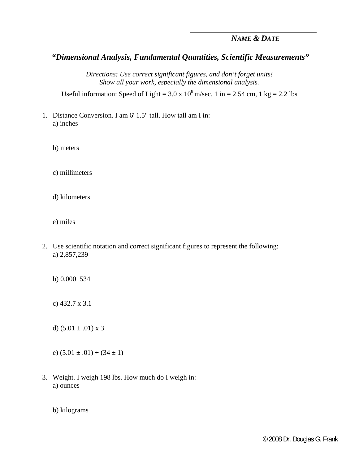## *NAME & DATE*

## *"Dimensional Analysis, Fundamental Quantities, Scientific Measurements"*

*Directions: Use correct significant figures, and don't forget units! Show all your work, especially the dimensional analysis.* 

Useful information: Speed of Light =  $3.0 \times 10^8$  m/sec, 1 in =  $2.54$  cm, 1 kg =  $2.2$  lbs

- 1. Distance Conversion. I am 6' 1.5" tall. How tall am I in: a) inches
	- b) meters
	- c) millimeters
	- d) kilometers
	- e) miles
- 2. Use scientific notation and correct significant figures to represent the following: a) 2,857,239
	- b) 0.0001534
	- c) 432.7 x 3.1
	- d)  $(5.01 \pm .01) \times 3$
	- e)  $(5.01 \pm .01) + (34 \pm 1)$
- 3. Weight. I weigh 198 lbs. How much do I weigh in: a) ounces
	- b) kilograms